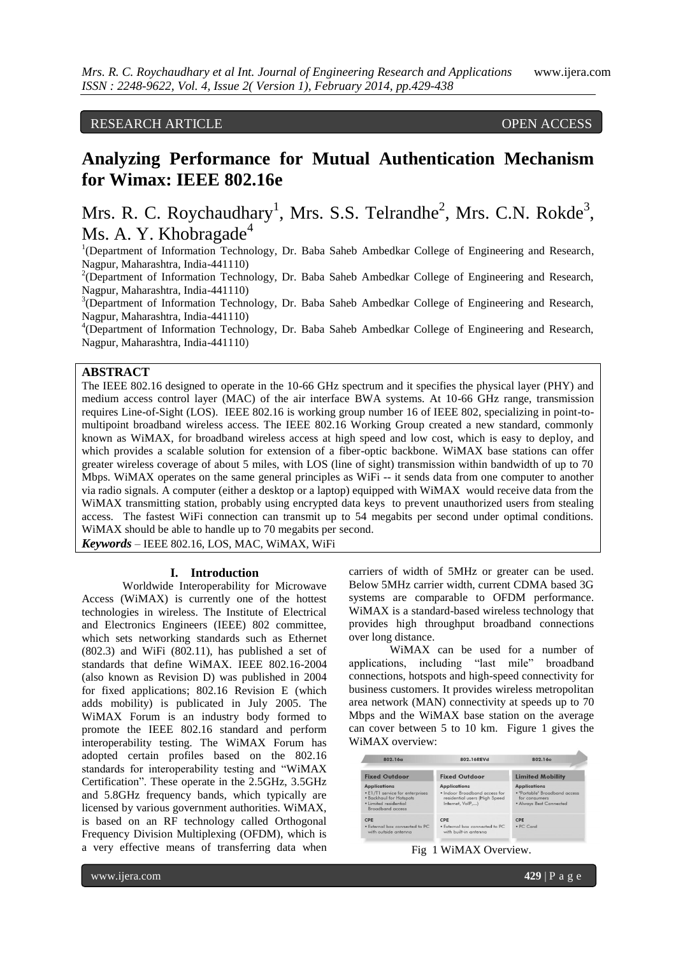# RESEARCH ARTICLE OPEN ACCESS

# **Analyzing Performance for Mutual Authentication Mechanism for Wimax: IEEE 802.16e**

# Mrs. R. C. Roychaudhary<sup>1</sup>, Mrs. S.S. Telrandhe<sup>2</sup>, Mrs. C.N. Rokde<sup>3</sup>, Ms. A. Y. Khobragade<sup>4</sup>

<sup>1</sup>(Department of Information Technology, Dr. Baba Saheb Ambedkar College of Engineering and Research, Nagpur, Maharashtra, India-441110)

 $2$ (Department of Information Technology, Dr. Baba Saheb Ambedkar College of Engineering and Research, Nagpur, Maharashtra, India-441110)

<sup>3</sup>(Department of Information Technology, Dr. Baba Saheb Ambedkar College of Engineering and Research, Nagpur, Maharashtra, India-441110)

<sup>4</sup>(Department of Information Technology, Dr. Baba Saheb Ambedkar College of Engineering and Research, Nagpur, Maharashtra, India-441110)

# **ABSTRACT**

The IEEE 802.16 designed to operate in the 10-66 GHz spectrum and it specifies the physical layer (PHY) and medium access control layer (MAC) of the air interface BWA systems. At 10-66 GHz range, transmission requires Line-of-Sight (LOS). IEEE 802.16 is working group number 16 of IEEE 802, specializing in point-tomultipoint broadband wireless access. The IEEE 802.16 Working Group created a new standard, commonly known as WiMAX, for broadband wireless access at high speed and low cost, which is easy to deploy, and which provides a scalable solution for extension of a fiber-optic backbone. WiMAX base stations can offer greater wireless coverage of about 5 miles, with LOS (line of sight) transmission within bandwidth of up to 70 Mbps. WiMAX operates on the same general principles as WiFi -- it sends data from one computer to another via radio signals. A computer (either a desktop or a laptop) equipped with WiMAX would receive data from the WiMAX transmitting station, probably using encrypted data keys to prevent unauthorized users from stealing access. The fastest WiFi connection can transmit up to 54 megabits per second under optimal conditions. WiMAX should be able to handle up to 70 megabits per second.

*Keywords* – IEEE 802.16, LOS, MAC, WiMAX, WiFi

#### **I. Introduction**

Worldwide Interoperability for Microwave Access (WiMAX) is currently one of the hottest technologies in wireless. The Institute of Electrical and Electronics Engineers (IEEE) 802 committee, which sets networking standards such as Ethernet (802.3) and WiFi (802.11), has published a set of standards that define WiMAX. IEEE 802.16-2004 (also known as Revision D) was published in 2004 for fixed applications; 802.16 Revision E (which adds mobility) is publicated in July 2005. The WiMAX Forum is an industry body formed to promote the IEEE 802.16 standard and perform interoperability testing. The WiMAX Forum has adopted certain profiles based on the 802.16 standards for interoperability testing and "WiMAX Certification". These operate in the 2.5GHz, 3.5GHz and 5.8GHz frequency bands, which typically are licensed by various government authorities. WiMAX, is based on an RF technology called Orthogonal Frequency Division Multiplexing (OFDM), which is a very effective means of transferring data when

carriers of width of 5MHz or greater can be used. Below 5MHz carrier width, current CDMA based 3G systems are comparable to OFDM performance. WiMAX is a standard-based wireless technology that provides high throughput broadband connections over long distance.

WiMAX can be used for a number of applications, including "last mile" broadband connections, hotspots and high-speed connectivity for business customers. It provides wireless metropolitan area network (MAN) connectivity at speeds up to 70 Mbps and the WiMAX base station on the average can cover between 5 to 10 km. Figure 1 gives the WiMAX overview:

| 802.16g                                                                                                                        | 802.16REVd                                                                                               | 802.16e                                                                                          |
|--------------------------------------------------------------------------------------------------------------------------------|----------------------------------------------------------------------------------------------------------|--------------------------------------------------------------------------------------------------|
| <b>Fixed Outdoor</b>                                                                                                           | <b>Fixed Outdoor</b>                                                                                     | <b>Limited Mobility</b>                                                                          |
| <b>Applications</b><br>• E1/T1 service for enterprises<br>· Backhaul for Hotspots<br>· Limited residential<br>Broadband access | <b>Applications</b><br>· Indoor Broadband access for<br>residential users (High Speed<br>Internet, VoIP) | <b>Applications</b><br>· "Portable" Broadband access<br>for consumers<br>• Always Best Connected |
| CPE<br>. External box connected to PC<br>with outside antenna.                                                                 | CPE<br>. External box connected to PC<br>with built-in antenna.                                          | CPE<br>$\bullet$ PC. Cord                                                                        |

#### Fig 1 WiMAX Overview.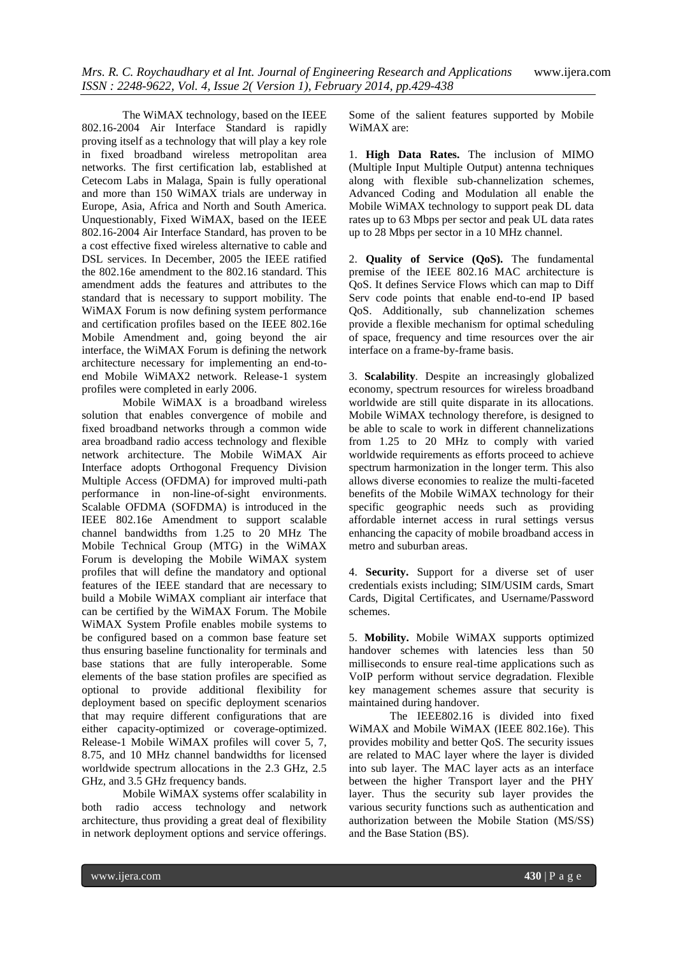The WiMAX technology, based on the IEEE 802.16-2004 Air Interface Standard is rapidly proving itself as a technology that will play a key role in fixed broadband wireless metropolitan area networks. The first certification lab, established at Cetecom Labs in Malaga, Spain is fully operational and more than 150 WiMAX trials are underway in Europe, Asia, Africa and North and South America. Unquestionably, Fixed WiMAX, based on the IEEE 802.16-2004 Air Interface Standard, has proven to be a cost effective fixed wireless alternative to cable and DSL services. In December, 2005 the IEEE ratified the 802.16e amendment to the 802.16 standard. This amendment adds the features and attributes to the standard that is necessary to support mobility. The WiMAX Forum is now defining system performance and certification profiles based on the IEEE 802.16e Mobile Amendment and, going beyond the air interface, the WiMAX Forum is defining the network architecture necessary for implementing an end-toend Mobile WiMAX2 network. Release-1 system profiles were completed in early 2006.

Mobile WiMAX is a broadband wireless solution that enables convergence of mobile and fixed broadband networks through a common wide area broadband radio access technology and flexible network architecture. The Mobile WiMAX Air Interface adopts Orthogonal Frequency Division Multiple Access (OFDMA) for improved multi-path performance in non-line-of-sight environments. Scalable OFDMA (SOFDMA) is introduced in the IEEE 802.16e Amendment to support scalable channel bandwidths from 1.25 to 20 MHz The Mobile Technical Group (MTG) in the WiMAX Forum is developing the Mobile WiMAX system profiles that will define the mandatory and optional features of the IEEE standard that are necessary to build a Mobile WiMAX compliant air interface that can be certified by the WiMAX Forum. The Mobile WiMAX System Profile enables mobile systems to be configured based on a common base feature set thus ensuring baseline functionality for terminals and base stations that are fully interoperable. Some elements of the base station profiles are specified as optional to provide additional flexibility for deployment based on specific deployment scenarios that may require different configurations that are either capacity-optimized or coverage-optimized. Release-1 Mobile WiMAX profiles will cover 5, 7, 8.75, and 10 MHz channel bandwidths for licensed worldwide spectrum allocations in the 2.3 GHz, 2.5 GHz, and 3.5 GHz frequency bands.

Mobile WiMAX systems offer scalability in both radio access technology and network architecture, thus providing a great deal of flexibility in network deployment options and service offerings.

Some of the salient features supported by Mobile WiMAX are:

1. **High Data Rates.** The inclusion of MIMO (Multiple Input Multiple Output) antenna techniques along with flexible sub-channelization schemes, Advanced Coding and Modulation all enable the Mobile WiMAX technology to support peak DL data rates up to 63 Mbps per sector and peak UL data rates up to 28 Mbps per sector in a 10 MHz channel.

2. **Quality of Service (QoS).** The fundamental premise of the IEEE 802.16 MAC architecture is QoS. It defines Service Flows which can map to Diff Serv code points that enable end-to-end IP based QoS. Additionally, sub channelization schemes provide a flexible mechanism for optimal scheduling of space, frequency and time resources over the air interface on a frame-by-frame basis.

3. **Scalability***.* Despite an increasingly globalized economy, spectrum resources for wireless broadband worldwide are still quite disparate in its allocations. Mobile WiMAX technology therefore, is designed to be able to scale to work in different channelizations from 1.25 to 20 MHz to comply with varied worldwide requirements as efforts proceed to achieve spectrum harmonization in the longer term. This also allows diverse economies to realize the multi-faceted benefits of the Mobile WiMAX technology for their specific geographic needs such as providing affordable internet access in rural settings versus enhancing the capacity of mobile broadband access in metro and suburban areas.

4. **Security.** Support for a diverse set of user credentials exists including; SIM/USIM cards, Smart Cards, Digital Certificates, and Username/Password schemes.

5. **Mobility.** Mobile WiMAX supports optimized handover schemes with latencies less than 50 milliseconds to ensure real-time applications such as VoIP perform without service degradation. Flexible key management schemes assure that security is maintained during handover.

The IEEE802.16 is divided into fixed WiMAX and Mobile WiMAX (IEEE 802.16e). This provides mobility and better QoS. The security issues are related to MAC layer where the layer is divided into sub layer. The MAC layer acts as an interface between the higher Transport layer and the PHY layer. Thus the security sub layer provides the various security functions such as authentication and authorization between the Mobile Station (MS/SS) and the Base Station (BS).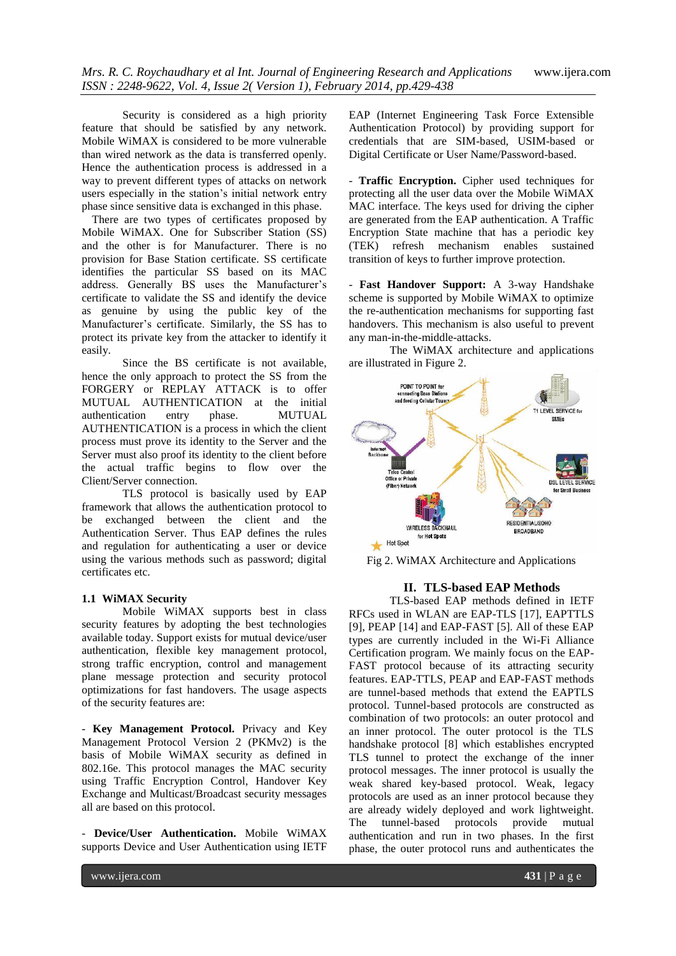Security is considered as a high priority feature that should be satisfied by any network. Mobile WiMAX is considered to be more vulnerable than wired network as the data is transferred openly. Hence the authentication process is addressed in a way to prevent different types of attacks on network users especially in the station's initial network entry phase since sensitive data is exchanged in this phase.

There are two types of certificates proposed by Mobile WiMAX. One for Subscriber Station (SS) and the other is for Manufacturer. There is no provision for Base Station certificate. SS certificate identifies the particular SS based on its MAC address. Generally BS uses the Manufacturer's certificate to validate the SS and identify the device as genuine by using the public key of the Manufacturer's certificate. Similarly, the SS has to protect its private key from the attacker to identify it easily.

Since the BS certificate is not available, hence the only approach to protect the SS from the FORGERY or REPLAY ATTACK is to offer MUTUAL AUTHENTICATION at the initial<br>authentication entry phase. MUTUAL authentication entry phase. MUTUAL AUTHENTICATION is a process in which the client process must prove its identity to the Server and the Server must also proof its identity to the client before the actual traffic begins to flow over the Client/Server connection.

TLS protocol is basically used by EAP framework that allows the authentication protocol to be exchanged between the client and the Authentication Server. Thus EAP defines the rules and regulation for authenticating a user or device using the various methods such as password; digital certificates etc.

## **1.1 WiMAX Security**

Mobile WiMAX supports best in class security features by adopting the best technologies available today. Support exists for mutual device/user authentication, flexible key management protocol, strong traffic encryption, control and management plane message protection and security protocol optimizations for fast handovers. The usage aspects of the security features are:

- **Key Management Protocol.** Privacy and Key Management Protocol Version 2 (PKMv2) is the basis of Mobile WiMAX security as defined in 802.16e. This protocol manages the MAC security using Traffic Encryption Control, Handover Key Exchange and Multicast/Broadcast security messages all are based on this protocol.

- **Device/User Authentication.** Mobile WiMAX supports Device and User Authentication using IETF EAP (Internet Engineering Task Force Extensible Authentication Protocol) by providing support for credentials that are SIM-based, USIM-based or Digital Certificate or User Name/Password-based.

- **Traffic Encryption.** Cipher used techniques for protecting all the user data over the Mobile WiMAX MAC interface. The keys used for driving the cipher are generated from the EAP authentication. A Traffic Encryption State machine that has a periodic key (TEK) refresh mechanism enables sustained transition of keys to further improve protection.

- **Fast Handover Support:** A 3-way Handshake scheme is supported by Mobile WiMAX to optimize the re-authentication mechanisms for supporting fast handovers. This mechanism is also useful to prevent any man-in-the-middle-attacks.

The WiMAX architecture and applications are illustrated in Figure 2.



Fig 2. WiMAX Architecture and Applications

### **II. TLS-based EAP Methods**

TLS-based EAP methods defined in IETF RFCs used in WLAN are EAP-TLS [17], EAPTTLS [9], PEAP [14] and EAP-FAST [5]. All of these EAP types are currently included in the Wi-Fi Alliance Certification program. We mainly focus on the EAP-FAST protocol because of its attracting security features. EAP-TTLS, PEAP and EAP-FAST methods are tunnel-based methods that extend the EAPTLS protocol. Tunnel-based protocols are constructed as combination of two protocols: an outer protocol and an inner protocol. The outer protocol is the TLS handshake protocol [8] which establishes encrypted TLS tunnel to protect the exchange of the inner protocol messages. The inner protocol is usually the weak shared key-based protocol. Weak, legacy protocols are used as an inner protocol because they are already widely deployed and work lightweight. The tunnel-based protocols provide mutual authentication and run in two phases. In the first phase, the outer protocol runs and authenticates the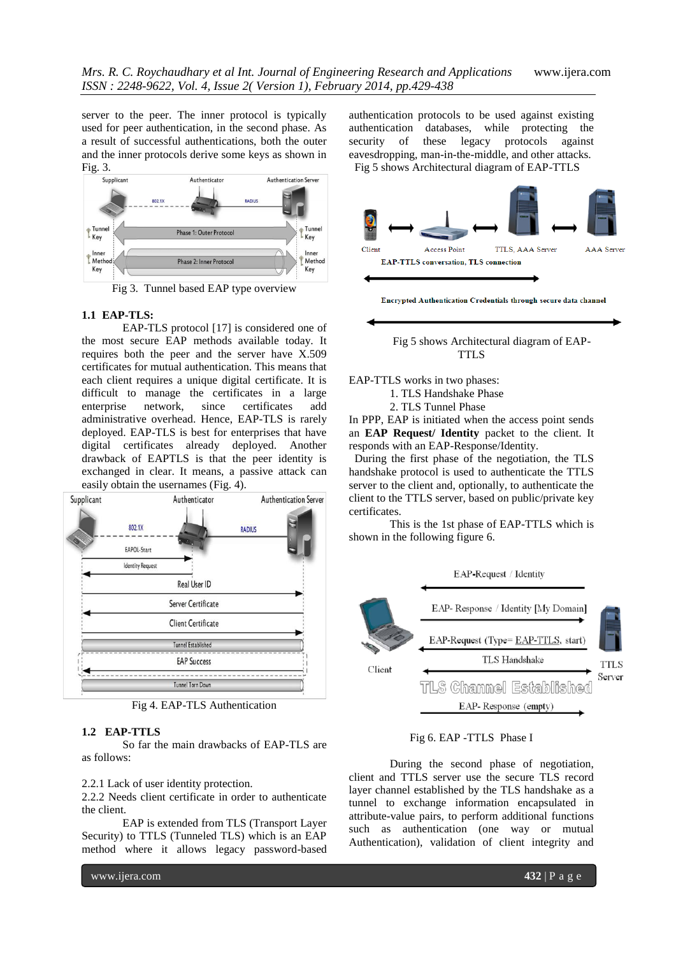server to the peer. The inner protocol is typically used for peer authentication, in the second phase. As a result of successful authentications, both the outer and the inner protocols derive some keys as shown in Fig. 3.



Fig 3. Tunnel based EAP type overview

### **1.1 EAP-TLS:**

EAP-TLS protocol [17] is considered one of the most secure EAP methods available today. It requires both the peer and the server have X.509 certificates for mutual authentication. This means that each client requires a unique digital certificate. It is difficult to manage the certificates in a large enterprise network, since certificates add administrative overhead. Hence, EAP-TLS is rarely deployed. EAP-TLS is best for enterprises that have digital certificates already deployed. Another drawback of EAPTLS is that the peer identity is exchanged in clear. It means, a passive attack can easily obtain the usernames (Fig. 4).



Fig 4. EAP-TLS Authentication

# **1.2 EAP-TTLS**

So far the main drawbacks of EAP-TLS are as follows:

2.2.1 Lack of user identity protection.

2.2.2 Needs client certificate in order to authenticate the client.

EAP is extended from TLS (Transport Layer Security) to TTLS (Tunneled TLS) which is an EAP method where it allows legacy password-based

authentication protocols to be used against existing authentication databases, while protecting the security of these legacy protocols against eavesdropping, man-in-the-middle, and other attacks. Fig 5 shows Architectural diagram of EAP-TTLS





EAP-TTLS works in two phases:

1. TLS Handshake Phase

2. TLS Tunnel Phase

In PPP, EAP is initiated when the access point sends an **EAP Request/ Identity** packet to the client. It responds with an EAP-Response/Identity.

 During the first phase of the negotiation, the TLS handshake protocol is used to authenticate the TTLS server to the client and, optionally, to authenticate the client to the TTLS server, based on public/private key certificates.

This is the 1st phase of EAP-TTLS which is shown in the following figure 6.



# Fig 6. EAP -TTLS Phase I

During the second phase of negotiation, client and TTLS server use the secure TLS record layer channel established by the TLS handshake as a tunnel to exchange information encapsulated in attribute-value pairs, to perform additional functions such as authentication (one way or mutual Authentication), validation of client integrity and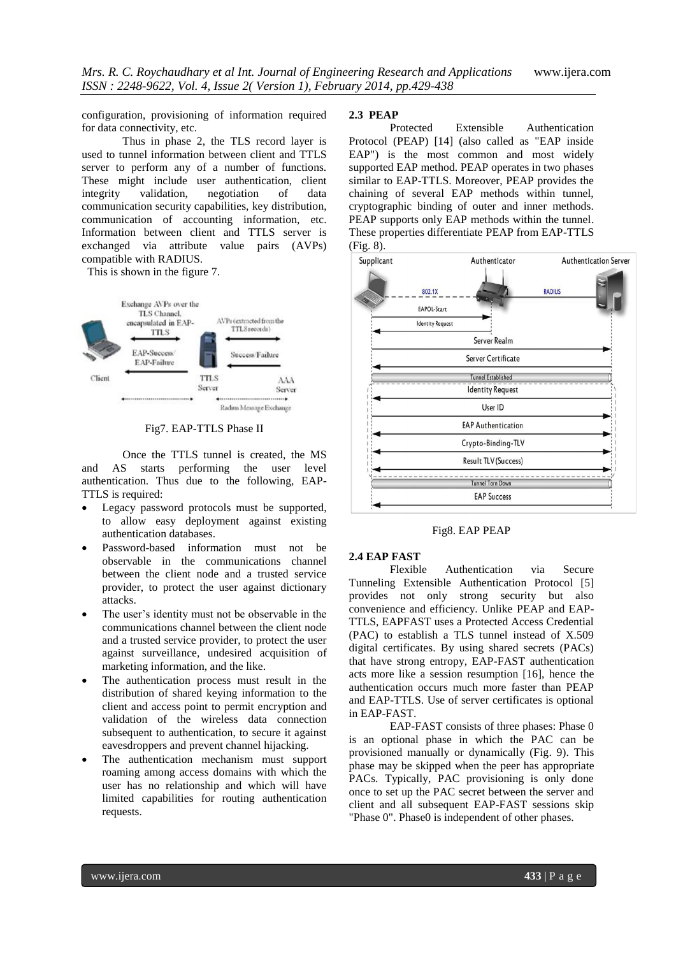configuration, provisioning of information required for data connectivity, etc.

Thus in phase 2, the TLS record layer is used to tunnel information between client and TTLS server to perform any of a number of functions. These might include user authentication, client integrity validation, negotiation of data communication security capabilities, key distribution, communication of accounting information, etc. Information between client and TTLS server is exchanged via attribute value pairs (AVPs) compatible with RADIUS.

This is shown in the figure 7.



Fig7. EAP-TTLS Phase II

Once the TTLS tunnel is created, the MS and AS starts performing the user level authentication. Thus due to the following, EAP-TTLS is required:

- Legacy password protocols must be supported, to allow easy deployment against existing authentication databases.
- Password-based information must not be observable in the communications channel between the client node and a trusted service provider, to protect the user against dictionary attacks.
- The user's identity must not be observable in the communications channel between the client node and a trusted service provider, to protect the user against surveillance, undesired acquisition of marketing information, and the like.
- The authentication process must result in the distribution of shared keying information to the client and access point to permit encryption and validation of the wireless data connection subsequent to authentication, to secure it against eavesdroppers and prevent channel hijacking.
- The authentication mechanism must support roaming among access domains with which the user has no relationship and which will have limited capabilities for routing authentication requests.

#### **2.3 PEAP**

Protected Extensible Authentication Protocol (PEAP) [14] (also called as "EAP inside EAP") is the most common and most widely supported EAP method. PEAP operates in two phases similar to EAP-TTLS. Moreover, PEAP provides the chaining of several EAP methods within tunnel, cryptographic binding of outer and inner methods. PEAP supports only EAP methods within the tunnel. These properties differentiate PEAP from EAP-TTLS



Fig8. EAP PEAP

### **2.4 EAP FAST**

Flexible Authentication via Secure Tunneling Extensible Authentication Protocol [5] provides not only strong security but also convenience and efficiency. Unlike PEAP and EAP-TTLS, EAPFAST uses a Protected Access Credential (PAC) to establish a TLS tunnel instead of X.509 digital certificates. By using shared secrets (PACs) that have strong entropy, EAP-FAST authentication acts more like a session resumption [16], hence the authentication occurs much more faster than PEAP and EAP-TTLS. Use of server certificates is optional in EAP-FAST.

 EAP-FAST consists of three phases: Phase 0 is an optional phase in which the PAC can be provisioned manually or dynamically (Fig. 9). This phase may be skipped when the peer has appropriate PACs. Typically, PAC provisioning is only done once to set up the PAC secret between the server and client and all subsequent EAP-FAST sessions skip "Phase 0". Phase0 is independent of other phases.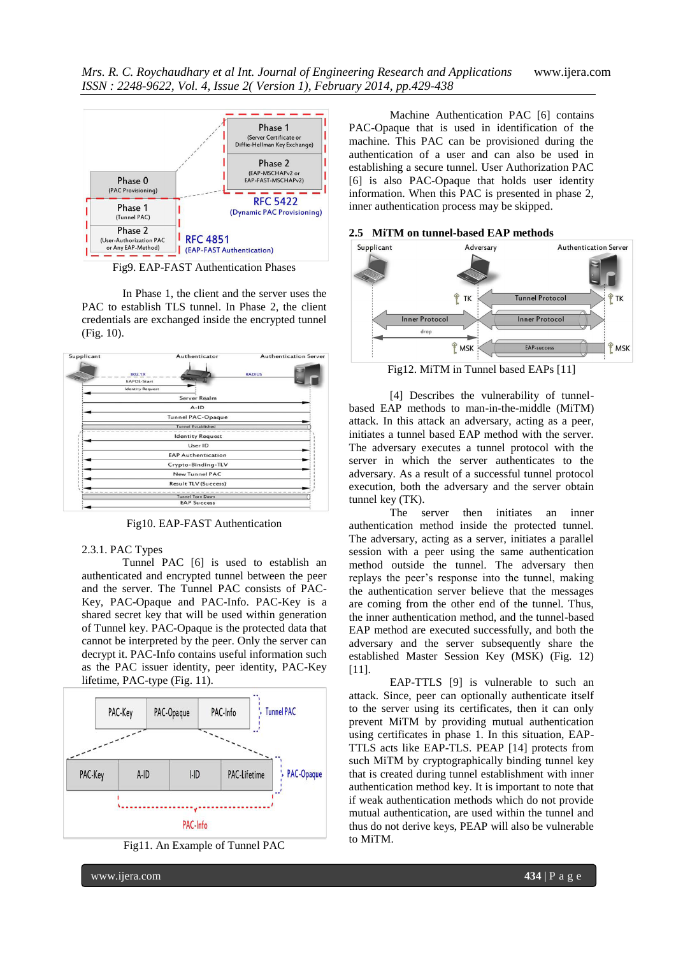

Fig9. EAP-FAST Authentication Phases

In Phase 1, the client and the server uses the PAC to establish TLS tunnel. In Phase 2, the client credentials are exchanged inside the encrypted tunnel (Fig. 10).



Fig10. EAP-FAST Authentication

### 2.3.1. PAC Types

Tunnel PAC [6] is used to establish an authenticated and encrypted tunnel between the peer and the server. The Tunnel PAC consists of PAC-Key, PAC-Opaque and PAC-Info. PAC-Key is a shared secret key that will be used within generation of Tunnel key. PAC-Opaque is the protected data that cannot be interpreted by the peer. Only the server can decrypt it. PAC-Info contains useful information such as the PAC issuer identity, peer identity, PAC-Key lifetime, PAC-type (Fig. 11).



Fig11. An Example of Tunnel PAC

Machine Authentication PAC [6] contains PAC-Opaque that is used in identification of the machine. This PAC can be provisioned during the authentication of a user and can also be used in establishing a secure tunnel. User Authorization PAC [6] is also PAC-Opaque that holds user identity information. When this PAC is presented in phase 2, inner authentication process may be skipped.

#### **2.5 MiTM on tunnel-based EAP methods**



Fig12. MiTM in Tunnel based EAPs [11]

[4] Describes the vulnerability of tunnelbased EAP methods to man-in-the-middle (MiTM) attack. In this attack an adversary, acting as a peer, initiates a tunnel based EAP method with the server. The adversary executes a tunnel protocol with the server in which the server authenticates to the adversary. As a result of a successful tunnel protocol execution, both the adversary and the server obtain tunnel key (TK).

The server then initiates an inner authentication method inside the protected tunnel. The adversary, acting as a server, initiates a parallel session with a peer using the same authentication method outside the tunnel. The adversary then replays the peer's response into the tunnel, making the authentication server believe that the messages are coming from the other end of the tunnel. Thus, the inner authentication method, and the tunnel-based EAP method are executed successfully, and both the adversary and the server subsequently share the established Master Session Key (MSK) (Fig. 12) [11].

EAP-TTLS [9] is vulnerable to such an attack. Since, peer can optionally authenticate itself to the server using its certificates, then it can only prevent MiTM by providing mutual authentication using certificates in phase 1. In this situation, EAP-TTLS acts like EAP-TLS. PEAP [14] protects from such MiTM by cryptographically binding tunnel key that is created during tunnel establishment with inner authentication method key. It is important to note that if weak authentication methods which do not provide mutual authentication, are used within the tunnel and thus do not derive keys, PEAP will also be vulnerable to MiTM.

www.ijera.com **434** | P a g e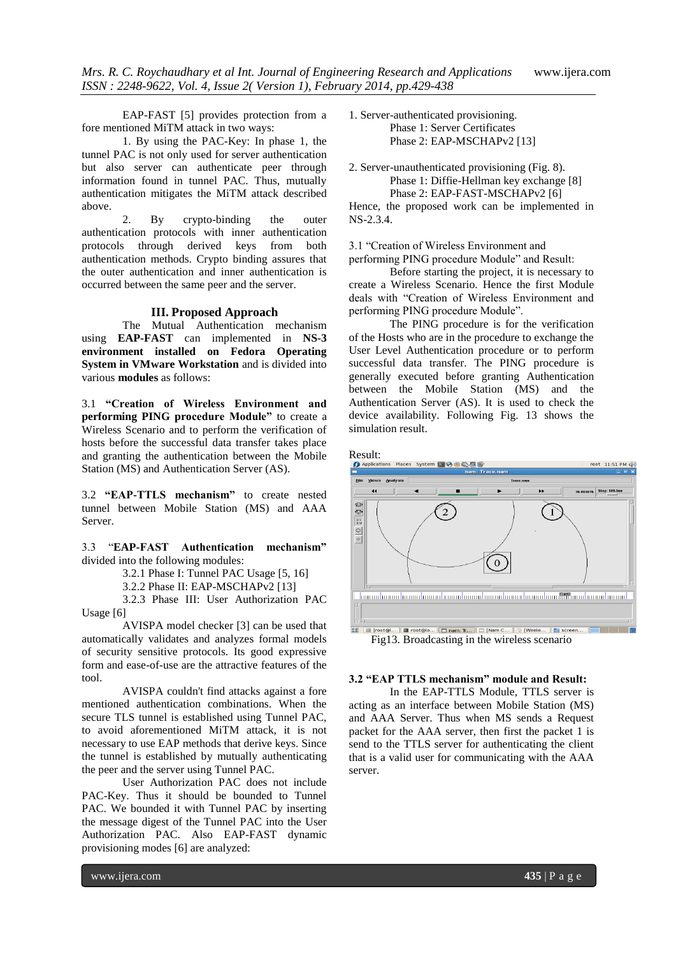EAP-FAST [5] provides protection from a fore mentioned MiTM attack in two ways:

1. By using the PAC-Key: In phase 1, the tunnel PAC is not only used for server authentication but also server can authenticate peer through information found in tunnel PAC. Thus, mutually authentication mitigates the MiTM attack described above.

2. By crypto-binding the outer authentication protocols with inner authentication protocols through derived keys from both authentication methods. Crypto binding assures that the outer authentication and inner authentication is occurred between the same peer and the server.

#### **III. Proposed Approach**

The Mutual Authentication mechanism using **EAP-FAST** can implemented in **NS-3 environment installed on Fedora Operating System in VMware Workstation** and is divided into various **modules** as follows:

3.1 **"Creation of Wireless Environment and performing PING procedure Module"** to create a Wireless Scenario and to perform the verification of hosts before the successful data transfer takes place and granting the authentication between the Mobile Station (MS) and Authentication Server (AS).

3.2 **"EAP-TTLS mechanism"** to create nested tunnel between Mobile Station (MS) and AAA Server.

3.3 "**EAP-FAST Authentication mechanism"**  divided into the following modules:

3.2.1 Phase I: Tunnel PAC Usage [5, 16]

3.2.2 Phase II: EAP-MSCHAPv2 [13]

3.2.3 Phase III: User Authorization PAC Usage [6]

AVISPA model checker [3] can be used that automatically validates and analyzes formal models of security sensitive protocols. Its good expressive form and ease-of-use are the attractive features of the tool.

AVISPA couldn't find attacks against a fore mentioned authentication combinations. When the secure TLS tunnel is established using Tunnel PAC, to avoid aforementioned MiTM attack, it is not necessary to use EAP methods that derive keys. Since the tunnel is established by mutually authenticating the peer and the server using Tunnel PAC.

User Authorization PAC does not include PAC-Key. Thus it should be bounded to Tunnel PAC. We bounded it with Tunnel PAC by inserting the message digest of the Tunnel PAC into the User Authorization PAC. Also EAP-FAST dynamic provisioning modes [6] are analyzed:

1. Server-authenticated provisioning. Phase 1: Server Certificates Phase 2: EAP-MSCHAPv2 [13]

2. Server-unauthenticated provisioning (Fig. 8). Phase 1: Diffie-Hellman key exchange [8] Phase 2: EAP-FAST-MSCHAPv2 [6]

Hence, the proposed work can be implemented in NS-2.3.4.

3.1 "Creation of Wireless Environment and

performing PING procedure Module" and Result:

Before starting the project, it is necessary to create a Wireless Scenario. Hence the first Module deals with "Creation of Wireless Environment and performing PING procedure Module".

The PING procedure is for the verification of the Hosts who are in the procedure to exchange the User Level Authentication procedure or to perform successful data transfer. The PING procedure is generally executed before granting Authentication between the Mobile Station (MS) and the Authentication Server (AS). It is used to check the device availability. Following Fig. 13 shows the simulation result.



# **3.2 "EAP TTLS mechanism" module and Result:**

In the EAP-TTLS Module, TTLS server is acting as an interface between Mobile Station (MS) and AAA Server. Thus when MS sends a Request packet for the AAA server, then first the packet 1 is send to the TTLS server for authenticating the client that is a valid user for communicating with the AAA server.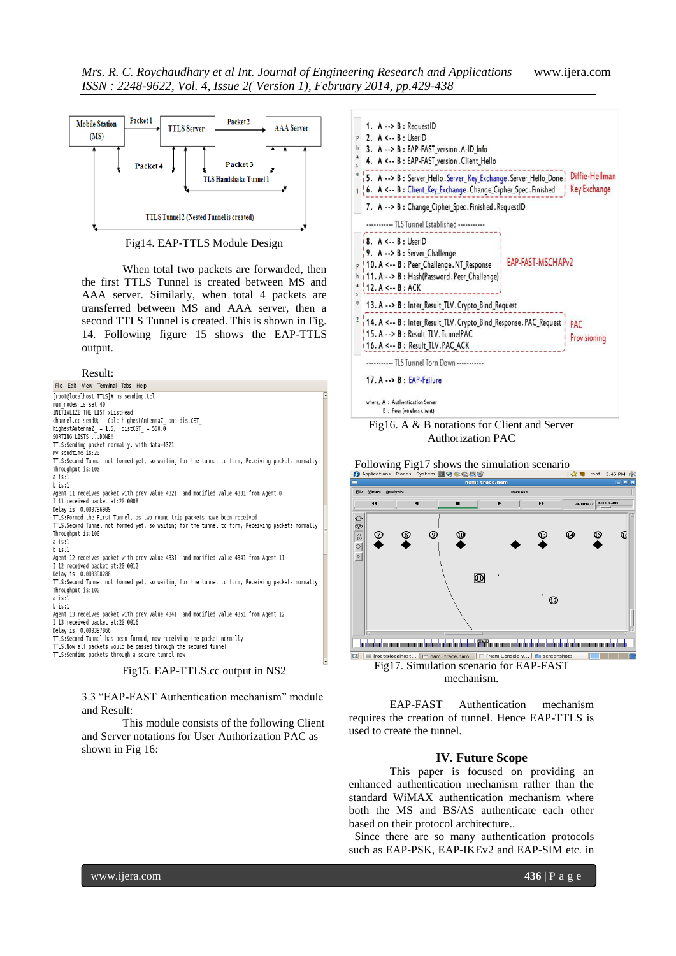

Fig14. EAP-TTLS Module Design

When total two packets are forwarded, then the first TTLS Tunnel is created between MS and AAA server. Similarly, when total 4 packets are transferred between MS and AAA server, then a second TTLS Tunnel is created. This is shown in Fig. 14. Following figure 15 shows the EAP-TTLS output.

### Result:

| File Edit View Terminal Tabs Help                                                                 |                      |
|---------------------------------------------------------------------------------------------------|----------------------|
|                                                                                                   | $\blacksquare$       |
| [root@localhost TTLS]# ns sending.tcl                                                             |                      |
| num nodes is set 40                                                                               |                      |
| INITIALIZE THE LIST xListHead                                                                     |                      |
| channel.cc:sendUp - Calc highestAntennaZ and distCST                                              |                      |
| highestAntennaZ = $1.5$ , distCST = $550.0$                                                       |                      |
| SORTING LISTS  DONE!                                                                              |                      |
| TTLS:Sending packet normally, with data=4321                                                      |                      |
| My sendtime is:20                                                                                 |                      |
| TTLS:Second Tunnel not formed yet, so waiting for the tunnel to form, Receiving packets normally  |                      |
| Throughput is:100                                                                                 |                      |
| a is:1                                                                                            |                      |
| $h$ is:1                                                                                          |                      |
| Agent 11 receives packet with prev value 4321 and modified value 4331 from Agent 0                |                      |
| I 11 received packet at:20.0008                                                                   |                      |
| Delay is: 0.000796909                                                                             |                      |
| TTLS: Formed the First Tunnel, as two round trip packets have been received                       |                      |
| TTLS: Second Tunnel not formed yet, so waiting for the tunnel to form, Receiving packets normally |                      |
| Throughput is:100                                                                                 |                      |
| a is:1                                                                                            |                      |
| $b$ is:1                                                                                          |                      |
| Agent 12 receives packet with prev value 4331 and modified value 4341 from Agent 11               |                      |
| I 12 received packet at:20.0012                                                                   |                      |
| Delay is: 0.000398288                                                                             |                      |
| TTLS: Second Tunnel not formed yet, so waiting for the tunnel to form, Receiving packets normally |                      |
| Throughput is:100                                                                                 |                      |
| a is:1                                                                                            |                      |
| $b$ is:1                                                                                          |                      |
| Agent 13 receives packet with prev value 4341 and modified value 4351 from Agent 12               |                      |
| I 13 received packet at:20.0016                                                                   |                      |
| Delay is: 0.000397866                                                                             |                      |
| TTLS: Second Tunnel has been formed, now receiving the packet normally                            |                      |
| TTLS: Now all packets would be passed through the secured tunnel                                  |                      |
| TTLS:Sending packets through a secure tunnel now                                                  |                      |
|                                                                                                   | $\blacktriangledown$ |
| Fig15. EAP-TTLS.cc output in NS2                                                                  |                      |

3.3 "EAP-FAST Authentication mechanism" module and Result:

This module consists of the following Client and Server notations for User Authorization PAC as shown in Fig 16:





Following Fig17 shows the simulation scenario  $\Theta$  Applications Places System and  $\Theta$  and  $\Theta$ 



Fig17. Simulation scenario for EAP-FAST mechanism.

EAP-FAST Authentication mechanism requires the creation of tunnel. Hence EAP-TTLS is used to create the tunnel.

#### **IV. Future Scope**

This paper is focused on providing an enhanced authentication mechanism rather than the standard WiMAX authentication mechanism where both the MS and BS/AS authenticate each other based on their protocol architecture..

 Since there are so many authentication protocols such as EAP-PSK, EAP-IKEv2 and EAP-SIM etc. in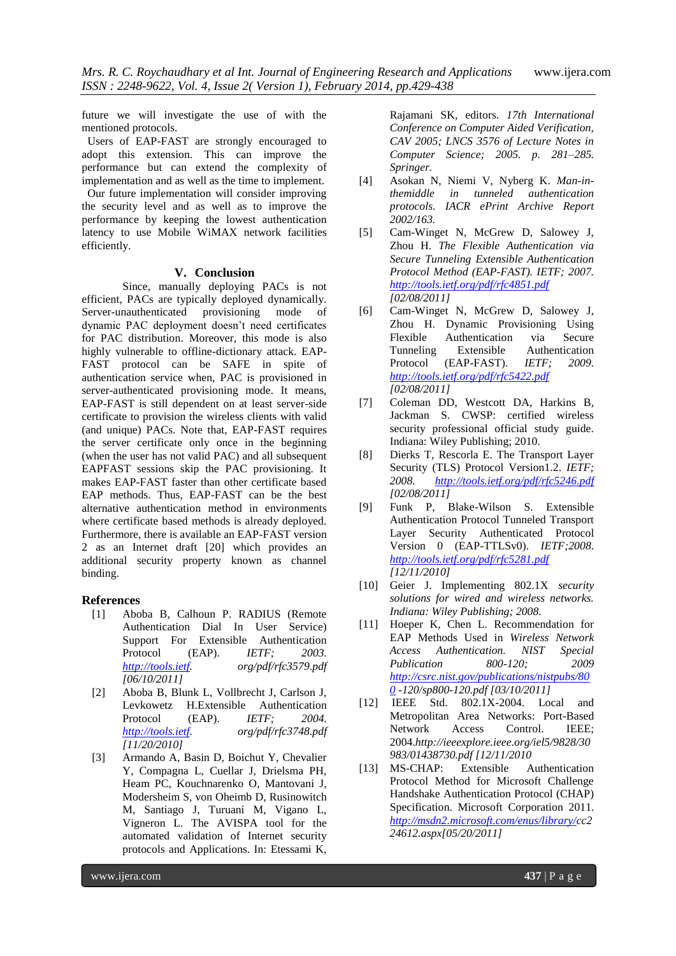future we will investigate the use of with the mentioned protocols.

 Users of EAP-FAST are strongly encouraged to adopt this extension. This can improve the performance but can extend the complexity of implementation and as well as the time to implement.

 Our future implementation will consider improving the security level and as well as to improve the performance by keeping the lowest authentication latency to use Mobile WiMAX network facilities efficiently.

## **V. Conclusion**

Since, manually deploying PACs is not efficient, PACs are typically deployed dynamically. Server-unauthenticated provisioning mode of dynamic PAC deployment doesn't need certificates for PAC distribution. Moreover, this mode is also highly vulnerable to offline-dictionary attack. EAP-FAST protocol can be SAFE in spite of authentication service when, PAC is provisioned in server-authenticated provisioning mode. It means, EAP-FAST is still dependent on at least server-side certificate to provision the wireless clients with valid (and unique) PACs. Note that, EAP-FAST requires the server certificate only once in the beginning (when the user has not valid PAC) and all subsequent EAPFAST sessions skip the PAC provisioning. It makes EAP-FAST faster than other certificate based EAP methods. Thus, EAP-FAST can be the best alternative authentication method in environments where certificate based methods is already deployed. Furthermore, there is available an EAP-FAST version 2 as an Internet draft [20] which provides an additional security property known as channel binding.

#### **References**

- [1] Aboba B, Calhoun P. RADIUS (Remote Authentication Dial In User Service) Support For Extensible Authentication Protocol (EAP). *IETF; 2003. [http://tools.ietf.](http://tools.ietf/) org/pdf/rfc3579.pdf [06/10/2011]*
- [2] Aboba B, Blunk L, Vollbrecht J, Carlson J, Levkowetz H.Extensible Authentication Protocol (EAP). *IETF; 2004. [http://tools.ietf.](http://tools.ietf/) org/pdf/rfc3748.pdf [11/20/2010]*
- [3] Armando A, Basin D, Boichut Y, Chevalier Y, Compagna L, Cuellar J, Drielsma PH, Heam PC, Kouchnarenko O, Mantovani J, Modersheim S, von Oheimb D, Rusinowitch M, Santiago J, Turuani M, Vigano L, Vigneron L. The AVISPA tool for the automated validation of Internet security protocols and Applications. In: Etessami K,

Rajamani SK, editors. *17th International Conference on Computer Aided Verification, CAV 2005; LNCS 3576 of Lecture Notes in Computer Science; 2005. p. 281–285. Springer.*

- [4] Asokan N, Niemi V, Nyberg K. *Man-inthemiddle in tunneled authentication protocols*. *IACR ePrint Archive Report 2002/163.*
- [5] Cam-Winget N, McGrew D, Salowey J, Zhou H. *The Flexible Authentication via Secure Tunneling Extensible Authentication Protocol Method (EAP-FAST). IETF; 2007. <http://tools.ietf.org/pdf/rfc4851.pdf> [02/08/2011]*
- [6] Cam-Winget N, McGrew D, Salowey J, Zhou H. Dynamic Provisioning Using Flexible Authentication via Secure Tunneling Extensible Authentication Protocol (EAP-FAST). *IETF; 2009. <http://tools.ietf.org/pdf/rfc5422.pdf> [02/08/2011]*
- [7] Coleman DD, Westcott DA, Harkins B, Jackman S. CWSP: certified wireless security professional official study guide. Indiana: Wiley Publishing; 2010.
- [8] Dierks T, Rescorla E. The Transport Layer Security (TLS) Protocol Version1.2. *IETF; 2008. <http://tools.ietf.org/pdf/rfc5246.pdf> [02/08/2011]*
- [9] Funk P, Blake-Wilson S. Extensible Authentication Protocol Tunneled Transport Layer Security Authenticated Protocol Version 0 (EAP-TTLSv0). *IETF;2008. <http://tools.ietf.org/pdf/rfc5281.pdf> [12/11/2010]*
- [10] Geier J. Implementing 802.1X *security solutions for wired and wireless networks. Indiana: Wiley Publishing; 2008.*
- [11] Hoeper K, Chen L. Recommendation for EAP Methods Used in *Wireless Network Access Authentication. NIST Special Publication 800-120; 2009 [http://csrc.nist.gov/publications/nistpubs/80](http://csrc.nist.gov/publications/nistpubs/800) [0](http://csrc.nist.gov/publications/nistpubs/800) -120/sp800-120.pdf [03/10/2011]*
- [12] IEEE Std. 802.1X-2004. Local and Metropolitan Area Networks: Port-Based Network Access Control. IEEE; 2004.*http://ieeexplore.ieee.org/iel5/9828/30 983/01438730.pdf [12/11/2010*
- [13] MS-CHAP: Extensible Authentication Protocol Method for Microsoft Challenge Handshake Authentication Protocol (CHAP) Specification. Microsoft Corporation 2011. *[http://msdn2.microsoft.com/enus/library/c](http://msdn2.microsoft.com/enus/library/)c2 24612.aspx[05/20/2011]*